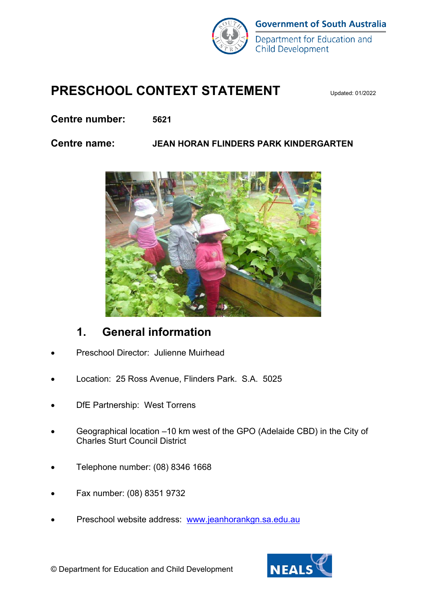

## **PRESCHOOL CONTEXT STATEMENT**

**Centre number: 5621**

#### **Centre name: JEAN HORAN FLINDERS PARK KINDERGARTEN**



#### **1. General information**

- Preschool Director: Julienne Muirhead
- Location: 25 Ross Avenue, Flinders Park. S.A. 5025
- DfE Partnership: West Torrens
- Geographical location –10 km west of the GPO (Adelaide CBD) in the City of Charles Sturt Council District
- Telephone number: (08) 8346 1668
- Fax number: (08) 8351 9732
- Preschool website address: [www.jeanhorankgn.sa.edu.au](http://www.jeanhorankgn.sa.edu.au/)

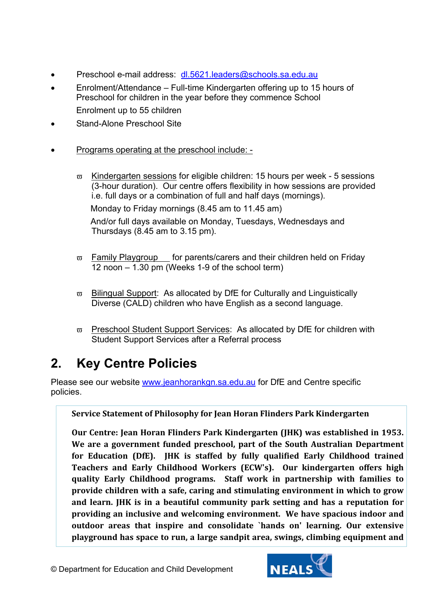- Preschool e-mail address: [dl.5621.leaders@schools.sa.edu.au](mailto:dl.5621.leaders@schools.sa.edu.au)
- Enrolment/Attendance Full-time Kindergarten offering up to 15 hours of Preschool for children in the year before they commence School Enrolment up to 55 children
- Stand-Alone Preschool Site
- Programs operating at the preschool include:
	- $\overline{\omega}$  Kindergarten sessions for eligible children: 15 hours per week 5 sessions (3-hour duration). Our centre offers flexibility in how sessions are provided i.e. full days or a combination of full and half days (mornings). Monday to Friday mornings (8.45 am to 11.45 am) And/or full days available on Monday, Tuesdays, Wednesdays and Thursdays (8.45 am to 3.15 pm).
	- $\overline{\omega}$  Family Playgroup for parents/carers and their children held on Friday 12 noon – 1.30 pm (Weeks 1-9 of the school term)
	- $\overline{\omega}$  Bilingual Support: As allocated by DfE for Culturally and Linguistically Diverse (CALD) children who have English as a second language.
	- $\overline{\omega}$  Preschool Student Support Services: As allocated by DfE for children with Student Support Services after a Referral process

# **2. Key Centre Policies**

Please see our website [www.jeanhorankgn.sa.edu.au](http://www.jeanhorankgn.sa.edu.au/) for DfE and Centre specific policies.

**Service Statement of Philosophy for Jean Horan Flinders Park Kindergarten**

**Our Centre: Jean Horan Flinders Park Kindergarten (JHK) was established in 1953. We are a government funded preschool, part of the South Australian Department for Education (DfE). JHK is staffed by fully qualified Early Childhood trained Teachers and Early Childhood Workers (ECW's). Our kindergarten offers high quality Early Childhood programs. Staff work in partnership with families to provide children with a safe, caring and stimulating environment in which to grow and learn. JHK is in a beautiful community park setting and has a reputation for providing an inclusive and welcoming environment. We have spacious indoor and outdoor areas that inspire and consolidate `hands on' learning. Our extensive playground has space to run, a large sandpit area, swings, climbing equipment and** 

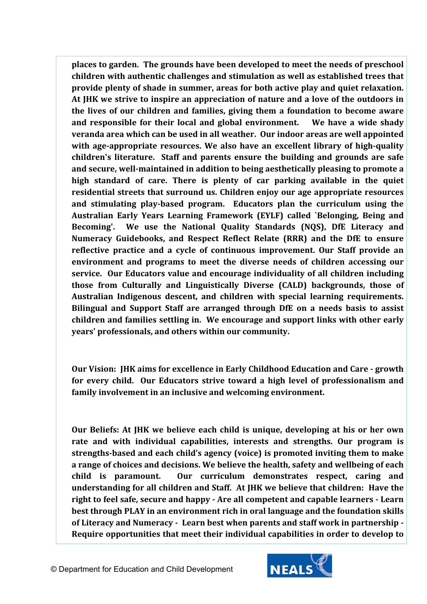**places to garden. The grounds have been developed to meet the needs of preschool children with authentic challenges and stimulation as well as established trees that provide plenty of shade in summer, areas for both active play and quiet relaxation. At JHK we strive to inspire an appreciation of nature and a love of the outdoors in the lives of our children and families, giving them a foundation to become aware and responsible for their local and global environment. We have a wide shady veranda area which can be used in all weather. Our indoor areas are well appointed with age-appropriate resources. We also have an excellent library of high-quality children's literature. Staff and parents ensure the building and grounds are safe and secure, well-maintained in addition to being aesthetically pleasing to promote a high standard of care. There is plenty of car parking available in the quiet residential streets that surround us. Children enjoy our age appropriate resources and stimulating play-based program. Educators plan the curriculum using the Australian Early Years Learning Framework (EYLF) called `Belonging, Being and Becoming'. We use the National Quality Standards (NQS), DfE Literacy and Numeracy Guidebooks, and Respect Reflect Relate (RRR) and the DfE to ensure reflective practice and a cycle of continuous improvement. Our Staff provide an environment and programs to meet the diverse needs of children accessing our service. Our Educators value and encourage individuality of all children including those from Culturally and Linguistically Diverse (CALD) backgrounds, those of Australian Indigenous descent, and children with special learning requirements. Bilingual and Support Staff are arranged through DfE on a needs basis to assist children and families settling in. We encourage and support links with other early years' professionals, and others within our community.** 

**Our Vision: JHK aims for excellence in Early Childhood Education and Care - growth for every child. Our Educators strive toward a high level of professionalism and family involvement in an inclusive and welcoming environment.** 

**Our Beliefs: At JHK we believe each child is unique, developing at his or her own rate and with individual capabilities, interests and strengths. Our program is strengths-based and each child's agency (voice) is promoted inviting them to make a range of choices and decisions. We believe the health, safety and wellbeing of each child is paramount. Our curriculum demonstrates respect, caring and understanding for all children and Staff. At JHK we believe that children: Have the right to feel safe, secure and happy - Are all competent and capable learners - Learn best through PLAY in an environment rich in oral language and the foundation skills of Literacy and Numeracy - Learn best when parents and staff work in partnership - Require opportunities that meet their individual capabilities in order to develop to**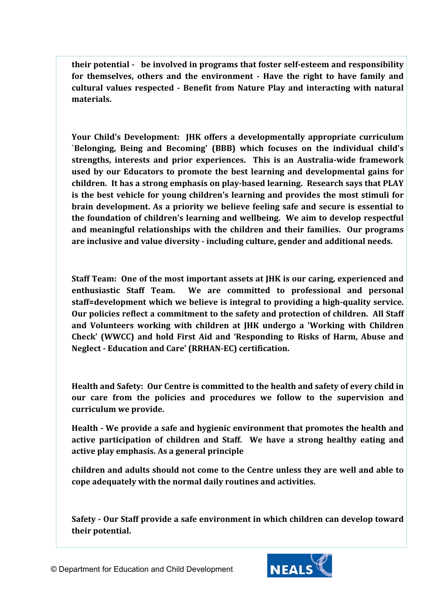**their potential - be involved in programs that foster self-esteem and responsibility for themselves, others and the environment - Have the right to have family and cultural values respected - Benefit from Nature Play and interacting with natural materials.**

**Your Child's Development: JHK offers a developmentally appropriate curriculum `Belonging, Being and Becoming' (BBB) which focuses on the individual child's strengths, interests and prior experiences. This is an Australia-wide framework used by our Educators to promote the best learning and developmental gains for children. It has a strong emphasis on play-based learning. Research says that PLAY is the best vehicle for young children's learning and provides the most stimuli for brain development. As a priority we believe feeling safe and secure is essential to the foundation of children's learning and wellbeing. We aim to develop respectful and meaningful relationships with the children and their families. Our programs are inclusive and value diversity - including culture, gender and additional needs.**

**Staff Team: One of the most important assets at JHK is our caring, experienced and enthusiastic Staff Team. We are committed to professional and personal staff=development which we believe is integral to providing a high-quality service. Our policies reflect a commitment to the safety and protection of children. All Staff and Volunteers working with children at JHK undergo a 'Working with Children Check' (WWCC) and hold First Aid and 'Responding to Risks of Harm, Abuse and Neglect - Education and Care' (RRHAN-EC) certification.**

**Health and Safety: Our Centre is committed to the health and safety of every child in our care from the policies and procedures we follow to the supervision and curriculum we provide.** 

**Health - We provide a safe and hygienic environment that promotes the health and active participation of children and Staff. We have a strong healthy eating and active play emphasis. As a general principle** 

**children and adults should not come to the Centre unless they are well and able to cope adequately with the normal daily routines and activities.**

**Safety - Our Staff provide a safe environment in which children can develop toward their potential.**

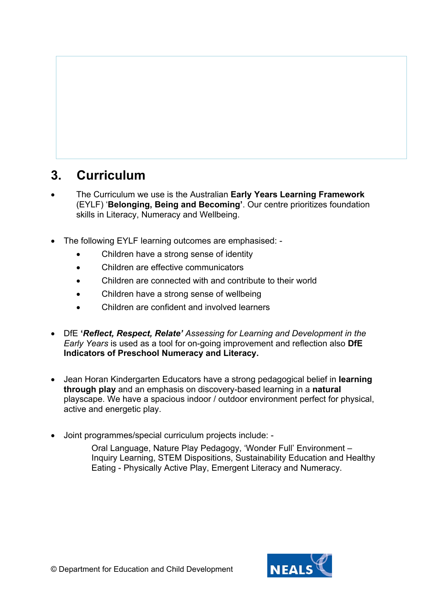#### **3. Curriculum**

- The Curriculum we use is the Australian **Early Years Learning Framework** (EYLF) '**Belonging, Being and Becoming'**. Our centre prioritizes foundation skills in Literacy, Numeracy and Wellbeing.
- The following EYLF learning outcomes are emphasised:
	- Children have a strong sense of identity
	- Children are effective communicators
	- Children are connected with and contribute to their world
	- Children have a strong sense of wellbeing
	- Children are confident and involved learners
- DfE **'***Reflect, Respect, Relate' Assessing for Learning and Development in the Early Years* is used as a tool for on-going improvement and reflection also **DfE Indicators of Preschool Numeracy and Literacy.**
- Jean Horan Kindergarten Educators have a strong pedagogical belief in **learning through play** and an emphasis on discovery-based learning in a **natural** playscape. We have a spacious indoor / outdoor environment perfect for physical, active and energetic play.
- Joint programmes/special curriculum projects include: -

Oral Language, Nature Play Pedagogy, 'Wonder Full' Environment – Inquiry Learning, STEM Dispositions, Sustainability Education and Healthy Eating - Physically Active Play, Emergent Literacy and Numeracy.

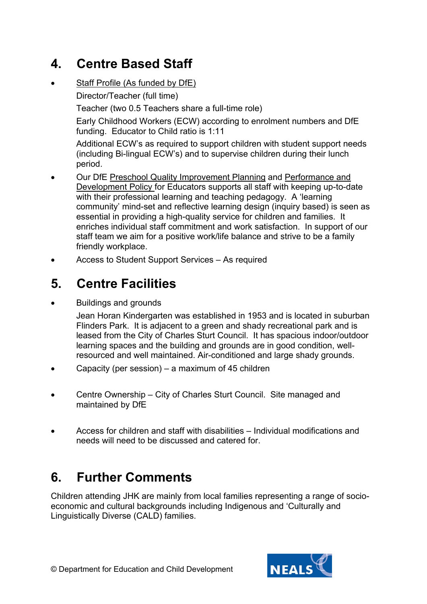# **4. Centre Based Staff**

Staff Profile (As funded by DfE)

Director/Teacher (full time)

Teacher (two 0.5 Teachers share a full-time role)

Early Childhood Workers (ECW) according to enrolment numbers and DfE funding. Educator to Child ratio is 1:11

Additional ECW's as required to support children with student support needs (including Bi-lingual ECW's) and to supervise children during their lunch period.

- Our DfE Preschool Quality Improvement Planning and Performance and Development Policy for Educators supports all staff with keeping up-to-date with their professional learning and teaching pedagogy. A 'learning community' mind-set and reflective learning design (inquiry based) is seen as essential in providing a high-quality service for children and families. It enriches individual staff commitment and work satisfaction. In support of our staff team we aim for a positive work/life balance and strive to be a family friendly workplace.
- Access to Student Support Services As required

## **5. Centre Facilities**

• Buildings and grounds

Jean Horan Kindergarten was established in 1953 and is located in suburban Flinders Park. It is adjacent to a green and shady recreational park and is leased from the City of Charles Sturt Council. It has spacious indoor/outdoor learning spaces and the building and grounds are in good condition, wellresourced and well maintained. Air-conditioned and large shady grounds.

- Capacity (per session) a maximum of 45 children
- Centre Ownership City of Charles Sturt Council. Site managed and maintained by DfE
- Access for children and staff with disabilities Individual modifications and needs will need to be discussed and catered for.

# **6. Further Comments**

Children attending JHK are mainly from local families representing a range of socioeconomic and cultural backgrounds including Indigenous and 'Culturally and Linguistically Diverse (CALD) families.